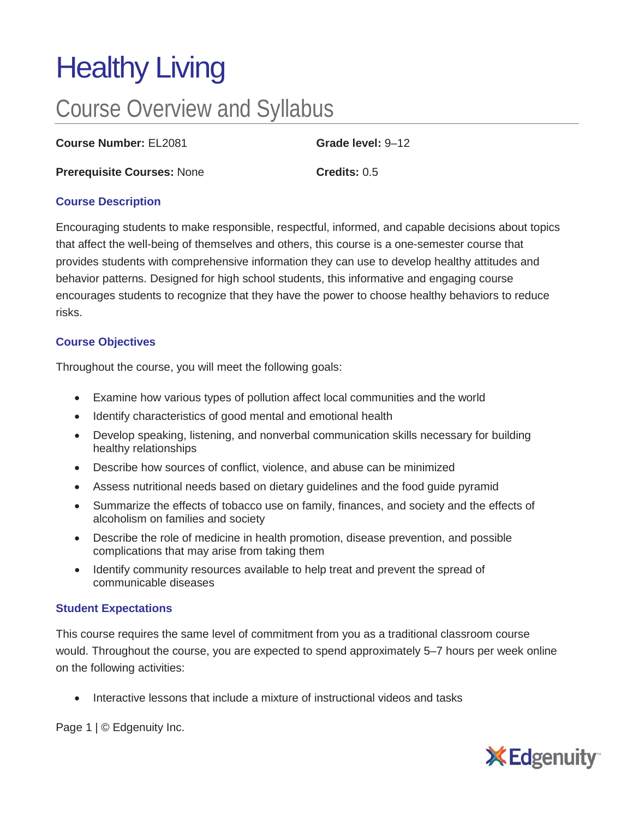# Healthy Living

## Course Overview and Syllabus

**Course Number:** EL2081 **Grade level:** 9–12

**Prerequisite Courses:** None **Credits:** 0.5

### **Course Description**

Encouraging students to make responsible, respectful, informed, and capable decisions about topics that affect the well-being of themselves and others, this course is a one-semester course that provides students with comprehensive information they can use to develop healthy attitudes and behavior patterns. Designed for high school students, this informative and engaging course encourages students to recognize that they have the power to choose healthy behaviors to reduce risks.

### **Course Objectives**

Throughout the course, you will meet the following goals:

- Examine how various types of pollution affect local communities and the world
- Identify characteristics of good mental and emotional health
- Develop speaking, listening, and nonverbal communication skills necessary for building healthy relationships
- Describe how sources of conflict, violence, and abuse can be minimized
- Assess nutritional needs based on dietary guidelines and the food guide pyramid
- Summarize the effects of tobacco use on family, finances, and society and the effects of alcoholism on families and society
- Describe the role of medicine in health promotion, disease prevention, and possible complications that may arise from taking them
- Identify community resources available to help treat and prevent the spread of communicable diseases

### **Student Expectations**

This course requires the same level of commitment from you as a traditional classroom course would. Throughout the course, you are expected to spend approximately 5–7 hours per week online on the following activities:

• Interactive lessons that include a mixture of instructional videos and tasks

Page 1 | © Edgenuity Inc.